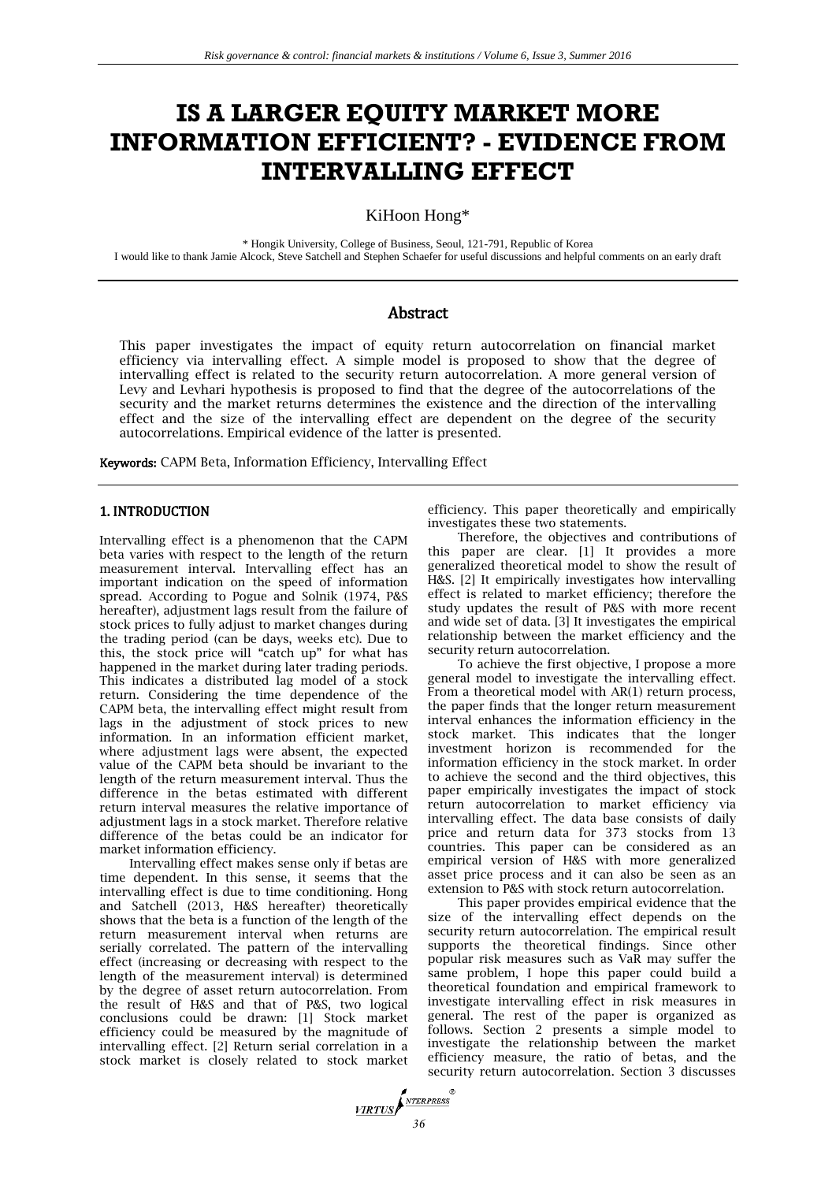# **IS A LARGER EQUITY MARKET MORE INFORMATION EFFICIENT? - EVIDENCE FROM INTERVALLING EFFECT**

KiHoon Hong\*

\* Hongik University, College of Business, Seoul, 121-791, Republic of Korea I would like to thank Jamie Alcock, Steve Satchell and Stephen Schaefer for useful discussions and helpful comments on an early draft

# Abstract

This paper investigates the impact of equity return autocorrelation on financial market efficiency via intervalling effect. A simple model is proposed to show that the degree of intervalling effect is related to the security return autocorrelation. A more general version of Levy and Levhari hypothesis is proposed to find that the degree of the autocorrelations of the security and the market returns determines the existence and the direction of the intervalling effect and the size of the intervalling effect are dependent on the degree of the security autocorrelations. Empirical evidence of the latter is presented.

Keywords: CAPM Beta, Information Efficiency, Intervalling Effect

## 1. INTRODUCTION

Intervalling effect is a phenomenon that the CAPM beta varies with respect to the length of the return measurement interval. Intervalling effect has an important indication on the speed of information spread. According to Pogue and Solnik (1974, P&S hereafter), adjustment lags result from the failure of stock prices to fully adjust to market changes during the trading period (can be days, weeks etc). Due to this, the stock price will "catch up" for what has happened in the market during later trading periods. This indicates a distributed lag model of a stock return. Considering the time dependence of the CAPM beta, the intervalling effect might result from lags in the adjustment of stock prices to new information. In an information efficient market, where adjustment lags were absent, the expected value of the CAPM beta should be invariant to the length of the return measurement interval. Thus the difference in the betas estimated with different return interval measures the relative importance of adjustment lags in a stock market. Therefore relative difference of the betas could be an indicator for market information efficiency.

Intervalling effect makes sense only if betas are time dependent. In this sense, it seems that the intervalling effect is due to time conditioning. Hong and Satchell (2013, H&S hereafter) theoretically shows that the beta is a function of the length of the return measurement interval when returns are serially correlated. The pattern of the intervalling effect (increasing or decreasing with respect to the length of the measurement interval) is determined by the degree of asset return autocorrelation. From the result of H&S and that of P&S, two logical conclusions could be drawn: [1] Stock market efficiency could be measured by the magnitude of intervalling effect. [2] Return serial correlation in a stock market is closely related to stock market

efficiency. This paper theoretically and empirically investigates these two statements.

Therefore, the objectives and contributions of this paper are clear. [1] It provides a more generalized theoretical model to show the result of H&S. [2] It empirically investigates how intervalling effect is related to market efficiency; therefore the study updates the result of P&S with more recent and wide set of data. [3] It investigates the empirical relationship between the market efficiency and the security return autocorrelation.

To achieve the first objective, I propose a more general model to investigate the intervalling effect. From a theoretical model with AR(1) return process, the paper finds that the longer return measurement interval enhances the information efficiency in the stock market. This indicates that the longer investment horizon is recommended for the information efficiency in the stock market. In order to achieve the second and the third objectives, this paper empirically investigates the impact of stock return autocorrelation to market efficiency via intervalling effect. The data base consists of daily price and return data for 373 stocks from 13 countries. This paper can be considered as an empirical version of H&S with more generalized asset price process and it can also be seen as an extension to P&S with stock return autocorrelation.

This paper provides empirical evidence that the size of the intervalling effect depends on the security return autocorrelation. The empirical result supports the theoretical findings. Since other popular risk measures such as VaR may suffer the same problem, I hope this paper could build a theoretical foundation and empirical framework to investigate intervalling effect in risk measures in general. The rest of the paper is organized as follows. Section 2 presents a simple model to investigate the relationship between the market efficiency measure, the ratio of betas, and the security return autocorrelation. Section 3 discusses

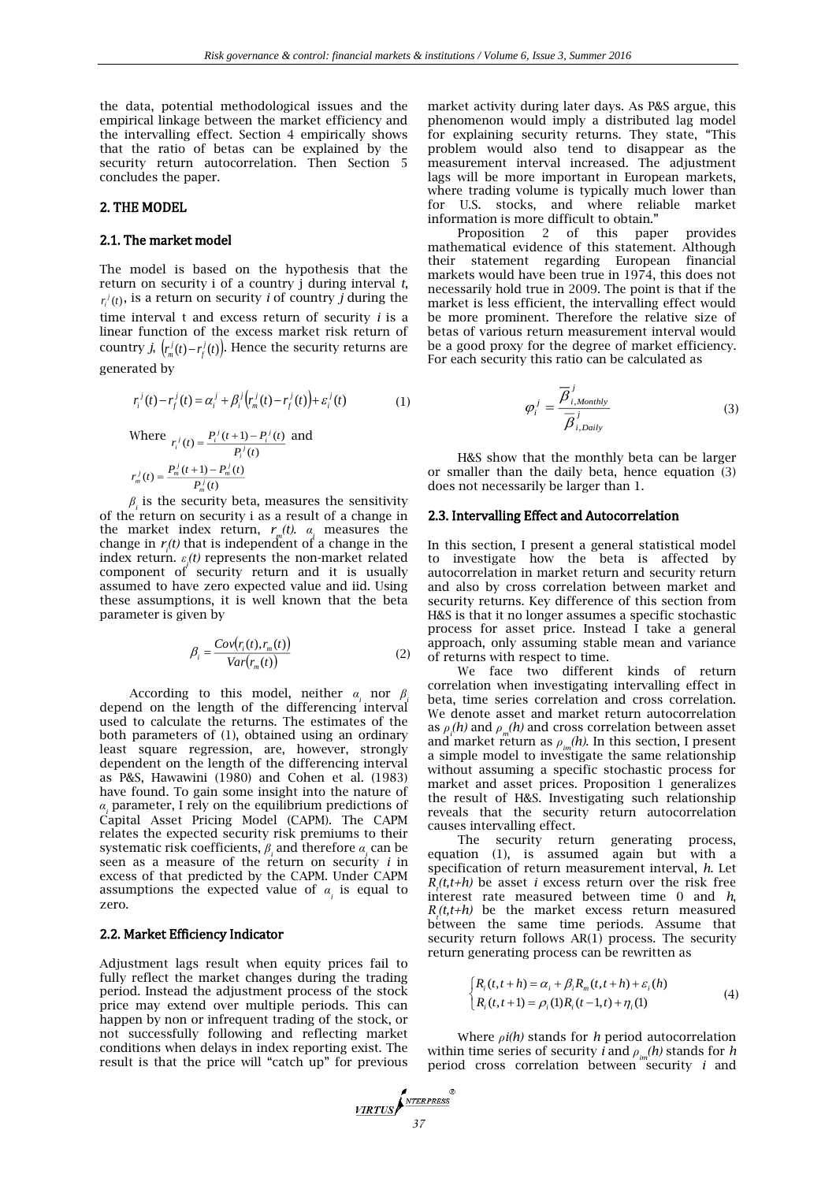the data, potential methodological issues and the empirical linkage between the market efficiency and the intervalling effect. Section 4 empirically shows that the ratio of betas can be explained by the security return autocorrelation. Then Section 5 concludes the paper.

#### 2. THE MODEL

#### 2.1. The market model

The model is based on the hypothesis that the return on security i of a country j during interval *t*,  $r_i^j(t)$ , is a return on security *i* of country *j* during the time interval t and excess return of security *i* is a linear function of the excess market risk return of country *j*,  $\left(r_m^j(t) - r_f^j(t)\right)$ . Hence the security returns are generated by

$$
r_i^j(t) - r_f^j(t) = \alpha_i^j + \beta_i^j (r_m^j(t) - r_f^j(t)) + \varepsilon_i^j(t)
$$
 (1)

Where 
$$
r_i^j(t) = \frac{P_i^j(t+1) - P_i^j(t)}{P_i^j(t)}
$$
 and  

$$
r_m^j(t) = \frac{P_m^j(t+1) - P_m^j(t)}{P_m^j(t)}
$$

*β* is the security beta, measures the sensitivity *i* of the return on security i as a result of a change in the market index return,  $r_m(t)$ .  $\alpha_i$  measures the change in *r (t)* that is independent of a change in the *i* index return. *ε i (t)* represents the non-market related component of security return and it is usually assumed to have zero expected value and iid. Using these assumptions, it is well known that the beta parameter is given by

$$
\beta_i = \frac{Cov(r_i(t), r_m(t))}{Var(r_m(t))}
$$
\n(2)

According to this model, neither  $\alpha_i$  nor  $\beta$ depend on the length of the differencing interval used to calculate the returns. The estimates of the both parameters of (1), obtained using an ordinary least square regression, are, however, strongly dependent on the length of the differencing interval as P&S, Hawawini (1980) and Cohen et al. (1983) have found. To gain some insight into the nature of *α* parameter, I rely on the equilibrium predictions of *i* Capital Asset Pricing Model (CAPM). The CAPM relates the expected security risk premiums to their systematic risk coefficients,  $\beta$ <sub>*i*</sub> and therefore  $\alpha$ <sub>*i*</sub> can be seen as a measure of the return on security *i* in excess of that predicted by the CAPM. Under CAPM assumptions the expected value of *α i* is equal to zero.

#### 2.2. Market Efficiency Indicator

Adjustment lags result when equity prices fail to fully reflect the market changes during the trading period. Instead the adjustment process of the stock price may extend over multiple periods. This can happen by non or infrequent trading of the stock, or not successfully following and reflecting market conditions when delays in index reporting exist. The result is that the price will "catch up" for previous market activity during later days. As P&S argue, this phenomenon would imply a distributed lag model for explaining security returns. They state, "This problem would also tend to disappear as the measurement interval increased. The adjustment lags will be more important in European markets, where trading volume is typically much lower than for U.S. stocks, and where reliable market information is more difficult to obtain."

Proposition 2 of this paper provides mathematical evidence of this statement. Although their statement regarding European financial markets would have been true in 1974, this does not necessarily hold true in 2009. The point is that if the market is less efficient, the intervalling effect would be more prominent. Therefore the relative size of betas of various return measurement interval would be a good proxy for the degree of market efficiency. For each security this ratio can be calculated as

$$
\varphi_i^j = \frac{\overline{\beta}_{i,Monthly}^j}{\overline{\beta}_{i,Daily}^j}
$$
 (3)

H&S show that the monthly beta can be larger or smaller than the daily beta, hence equation (3) does not necessarily be larger than 1.

#### 2.3. Intervalling Effect and Autocorrelation

In this section, I present a general statistical model to investigate how the beta is affected by autocorrelation in market return and security return and also by cross correlation between market and security returns. Key difference of this section from H&S is that it no longer assumes a specific stochastic process for asset price. Instead I take a general approach, only assuming stable mean and variance of returns with respect to time.

We face two different kinds of return correlation when investigating intervalling effect in beta, time series correlation and cross correlation. We denote asset and market return autocorrelation as  $\rho_n(h)$  and  $\rho_n(h)$  and cross correlation between asset and market return as  $\rho_{im}(h)$ . In this section, I present a simple model to investigate the same relationship without assuming a specific stochastic process for market and asset prices. Proposition 1 generalizes the result of H&S. Investigating such relationship reveals that the security return autocorrelation causes intervalling effect.

The security return generating process, equation (1), is assumed again but with a specification of return measurement interval, *h*. Let  $R_t(t,t+h)$  be asset *i* excess return over the risk free interest rate measured between time 0 and *h*,  $R_t(t,t+h)$  be the market excess return measured between the same time periods. Assume that security return follows AR(1) process. The security return generating process can be rewritten as

$$
\begin{cases} R_i(t, t+h) = \alpha_i + \beta_i R_m(t, t+h) + \varepsilon_i(h) \\ R_i(t, t+1) = \rho_i(1) R_i(t-1, t) + \eta_i(1) \end{cases}
$$
(4)

Where *ρi(h)* stands for *h* period autocorrelation within time series of security *i* and  $\rho_{in}(h)$  stands for *h* period cross correlation between security *i* and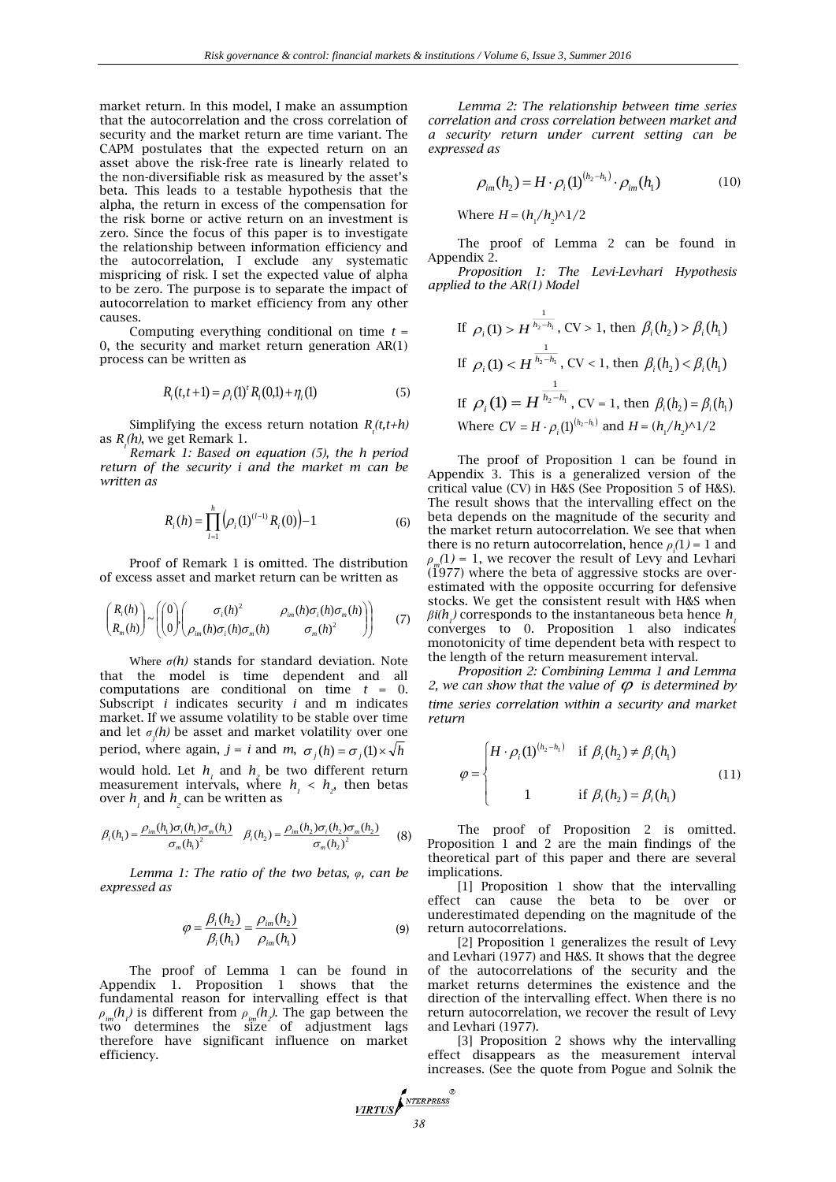market return. In this model, I make an assumption that the autocorrelation and the cross correlation of security and the market return are time variant. The CAPM postulates that the expected return on an asset above the risk-free rate is linearly related to the non-diversifiable risk as measured by the asset's beta. This leads to a testable hypothesis that the alpha, the return in excess of the compensation for the risk borne or active return on an investment is zero. Since the focus of this paper is to investigate the relationship between information efficiency and the autocorrelation, I exclude any systematic mispricing of risk. I set the expected value of alpha to be zero. The purpose is to separate the impact of autocorrelation to market efficiency from any other causes.

Computing everything conditional on time  $t =$ 0, the security and market return generation AR(1) process can be written as

$$
R_i(t, t+1) = \rho_i(1)^t R_i(0, 1) + \eta_i(1)
$$
\n(5)

Simplifying the excess return notation  $R_t(t,t+h)$ as *R<sup>t</sup> (h)*, we get Remark 1.

*Remark 1: Based on equation (5), the h period return of the security i and the market m can be written as* 

$$
R_i(h) = \prod_{i=1}^{h} \left( \rho_i(1)^{(i-1)} R_i(0) \right) - 1 \tag{6}
$$

Proof of Remark 1 is omitted. The distribution of excess asset and market return can be written as

$$
\begin{pmatrix} R_i(h) \\ R_m(h) \end{pmatrix} \sim \left( \begin{pmatrix} 0 \\ 0 \end{pmatrix} \begin{pmatrix} \sigma_i(h)^2 & \rho_{im}(h)\sigma_i(h)\sigma_m(h) \\ \rho_{im}(h)\sigma_i(h)\sigma_m(h) & \sigma_m(h)^2 \end{pmatrix} \right) \tag{7}
$$

Where  $\sigma(h)$  stands for standard deviation. Note that the model is time dependent and all computations are conditional on time *t* = 0. Subscript *i* indicates security *i* and m indicates market. If we assume volatility to be stable over time and let *σ j (h)* be asset and market volatility over one period, where again,  $j = i$  and  $m$ ,  $\sigma_j(h) = \sigma_j(1) \times \sqrt{h}$ would hold. Let  $h_1$  and  $h_2$  be two different return measurement intervals, where  $h_1 < h_2$ , then betas over  $h_{i}$  and  $h_{i}$  can be written as

$$
\beta_i(h_1) = \frac{\rho_{im}(h_1)\sigma_i(h_1)\sigma_m(h_1)}{\sigma_m(h_1)^2} \quad \beta_i(h_2) = \frac{\rho_{im}(h_2)\sigma_i(h_2)\sigma_m(h_2)}{\sigma_m(h_2)^2} \tag{8}
$$

*Lemma 1: The ratio of the two betas, φ, can be expressed as*

$$
\varphi = \frac{\beta_i(h_2)}{\beta_i(h_1)} = \frac{\rho_{im}(h_2)}{\rho_{im}(h_1)}
$$
(9)

The proof of Lemma 1 can be found in Appendix 1. Proposition 1 shows that the fundamental reason for intervalling effect is that  $\rho$ <sub>*im*</sub>(*h*<sub>*l*</sub>)</sub> is different from  $\rho$ <sub>*im*</sub>(*h*<sub>*z*</sub>). The gap between the two determines the size of adjustment lags therefore have significant influence on market efficiency.

*Lemma 2: The relationship between time series correlation and cross correlation between market and a security return under current setting can be expressed as*

$$
\rho_{im}(h_2) = H \cdot \rho_i(1)^{(h_2 - h_1)} \cdot \rho_{im}(h_1)
$$
\n(10)

Where  $H = (h_1/h_2)^{\wedge}1/2$ 

The proof of Lemma 2 can be found in Appendix  $2$ .

*Proposition 1: The Levi-Levhari Hypothesis applied to the AR(1) Model* 

If 
$$
\rho_i(1) > H^{\frac{1}{h_2 - h_i}}
$$
, CV > 1, then  $\beta_i(h_2) > \beta_i(h_1)$   
\nIf  $\rho_i(1) < H^{\frac{1}{h_2 - h_i}}$ , CV < 1, then  $\beta_i(h_2) < \beta_i(h_1)$   
\nIf  $\rho_i(1) = H^{\frac{1}{h_2 - h_i}}$ , CV = 1, then  $\beta_i(h_2) = \beta_i(h_1)$   
\nWhere CV =  $H \cdot \rho_i(1)^{(h_2 - h_i)}$  and  $H = (h_1/h_2)^{1/2}$ 

The proof of Proposition 1 can be found in Appendix 3. This is a generalized version of the critical value (CV) in H&S (See Proposition 5 of H&S). The result shows that the intervalling effect on the beta depends on the magnitude of the security and the market return autocorrelation. We see that when there is no return autocorrelation, hence  $\rho_i(1) = 1$  and  $\rho_m(1) = 1$ , we recover the result of Levy and Levhari  $(1977)$  where the beta of aggressive stocks are overestimated with the opposite occurring for defensive stocks. We get the consistent result with H&S when  $\beta$ *i(h<sub>1</sub>)* corresponds to the instantaneous beta hence  $h_{\mathrm{p}}$ converges to 0. Proposition 1 also indicates monotonicity of time dependent beta with respect to the length of the return measurement interval.

*Proposition 2: Combining Lemma 1 and Lemma*  2, we can show that the value of  $\varphi$  is determined by *time series correlation within a security and market return*

$$
\varphi = \begin{cases} H \cdot \rho_i(1)^{(h_2 - h_i)} & \text{if } \beta_i(h_2) \neq \beta_i(h_1) \\ 1 & \text{if } \beta_i(h_2) = \beta_i(h_1) \end{cases}
$$
(11)

The proof of Proposition 2 is omitted. Proposition 1 and 2 are the main findings of the theoretical part of this paper and there are several implications.

[1] Proposition 1 show that the intervalling effect can cause the beta to be over or underestimated depending on the magnitude of the return autocorrelations.

[2] Proposition 1 generalizes the result of Levy and Levhari (1977) and H&S. It shows that the degree of the autocorrelations of the security and the market returns determines the existence and the direction of the intervalling effect. When there is no return autocorrelation, we recover the result of Levy and Levhari (1977).

[3] Proposition 2 shows why the intervalling effect disappears as the measurement interval increases. (See the quote from Pogue and Solnik the

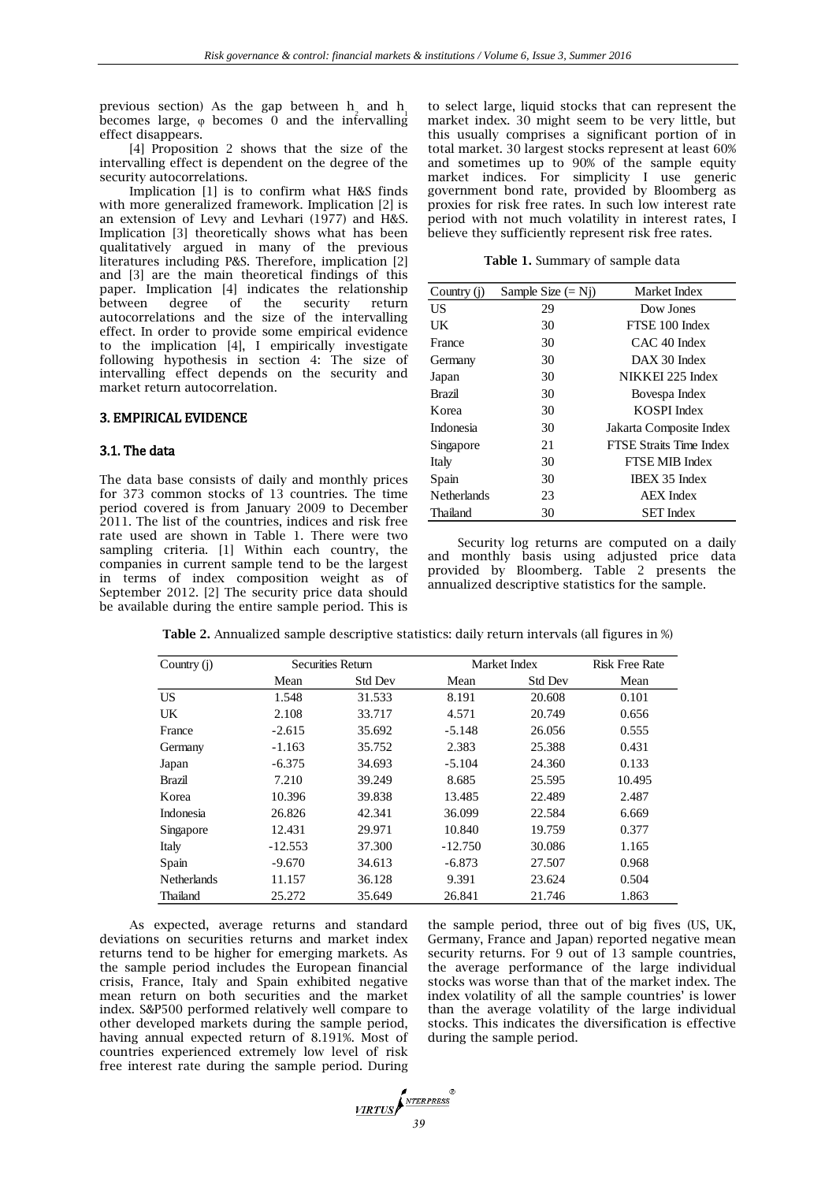previous section) As the gap between  $h_2$  and  $h_1$ becomes large,  $\varphi$  becomes 0 and the intervalling effect disappears.

[4] Proposition 2 shows that the size of the intervalling effect is dependent on the degree of the security autocorrelations.

Implication [1] is to confirm what H&S finds with more generalized framework. Implication [2] is an extension of Levy and Levhari (1977) and H&S. Implication [3] theoretically shows what has been qualitatively argued in many of the previous literatures including P&S. Therefore, implication [2] and [3] are the main theoretical findings of this paper. Implication [4] indicates the relationship<br>between degree of the security return between degree of the security return autocorrelations and the size of the intervalling effect. In order to provide some empirical evidence to the implication [4], I empirically investigate following hypothesis in section 4: The size of intervalling effect depends on the security and market return autocorrelation.

# 3. EMPIRICAL EVIDENCE

## 3.1. The data

The data base consists of daily and monthly prices for 373 common stocks of 13 countries. The time period covered is from January 2009 to December 2011. The list of the countries, indices and risk free rate used are shown in Table 1. There were two sampling criteria. [1] Within each country, the companies in current sample tend to be the largest in terms of index composition weight as of September 2012. [2] The security price data should be available during the entire sample period. This is

to select large, liquid stocks that can represent the market index. 30 might seem to be very little, but this usually comprises a significant portion of in total market. 30 largest stocks represent at least 60% and sometimes up to 90% of the sample equity market indices. For simplicity I use generic government bond rate, provided by Bloomberg as proxies for risk free rates. In such low interest rate period with not much volatility in interest rates, I believe they sufficiently represent risk free rates.

**Table 1.** Summary of sample data

| Country (j)        | Sample Size $(= Nj)$ | Market Index                   |
|--------------------|----------------------|--------------------------------|
| US                 | 29                   | Dow Jones                      |
| UK                 | 30                   | FTSE 100 Index                 |
| France             | 30                   | $CAC$ 40 Index                 |
| Germany            | 30                   | DAX 30 Index                   |
| Japan              | 30                   | NIKKEI 225 Index               |
| <b>Brazil</b>      | 30                   | Bovespa Index                  |
| Korea              | 30                   | KOSPI Index                    |
| Indonesia          | 30                   | Jakarta Composite Index        |
| Singapore          | 21                   | <b>FTSE Straits Time Index</b> |
| Italy              | 30                   | FTSE MIB Index                 |
| Spain              | 30                   | <b>IBEX 35 Index</b>           |
| <b>Netherlands</b> | 23                   | <b>AEX</b> Index               |
| Thailand           | 30                   | <b>SET</b> Index               |

Security log returns are computed on a daily and monthly basis using adjusted price data provided by Bloomberg. Table 2 presents the annualized descriptive statistics for the sample.

| Country $(i)$      |           | <b>Securities Return</b> |           | Market Index   | <b>Risk Free Rate</b> |
|--------------------|-----------|--------------------------|-----------|----------------|-----------------------|
|                    | Mean      | <b>Std Dev</b>           | Mean      | <b>Std Dev</b> | Mean                  |
| US.                | 1.548     | 31.533                   | 8.191     | 20.608         | 0.101                 |
| UK                 | 2.108     | 33.717                   | 4.571     | 20.749         | 0.656                 |
| France             | $-2.615$  | 35.692                   | $-5.148$  | 26.056         | 0.555                 |
| Germany            | $-1.163$  | 35.752                   | 2.383     | 25.388         | 0.431                 |
| Japan              | $-6.375$  | 34.693                   | $-5.104$  | 24.360         | 0.133                 |
| Brazil             | 7.210     | 39.249                   | 8.685     | 25.595         | 10.495                |
| Korea              | 10.396    | 39.838                   | 13.485    | 22.489         | 2.487                 |
| Indonesia          | 26.826    | 42.341                   | 36.099    | 22.584         | 6.669                 |
| Singapore          | 12.431    | 29.971                   | 10.840    | 19.759         | 0.377                 |
| Italy              | $-12.553$ | 37.300                   | $-12.750$ | 30.086         | 1.165                 |
| Spain              | $-9.670$  | 34.613                   | $-6.873$  | 27.507         | 0.968                 |
| <b>Netherlands</b> | 11.157    | 36.128                   | 9.391     | 23.624         | 0.504                 |
| Thailand           | 25.272    | 35.649                   | 26.841    | 21.746         | 1.863                 |

**Table 2.** Annualized sample descriptive statistics: daily return intervals (all figures in %)

As expected, average returns and standard deviations on securities returns and market index returns tend to be higher for emerging markets. As the sample period includes the European financial crisis, France, Italy and Spain exhibited negative mean return on both securities and the market index. S&P500 performed relatively well compare to other developed markets during the sample period, having annual expected return of 8.191%. Most of countries experienced extremely low level of risk free interest rate during the sample period. During

the sample period, three out of big fives (US, UK, Germany, France and Japan) reported negative mean security returns. For 9 out of 13 sample countries, the average performance of the large individual stocks was worse than that of the market index. The index volatility of all the sample countries' is lower than the average volatility of the large individual stocks. This indicates the diversification is effective during the sample period.

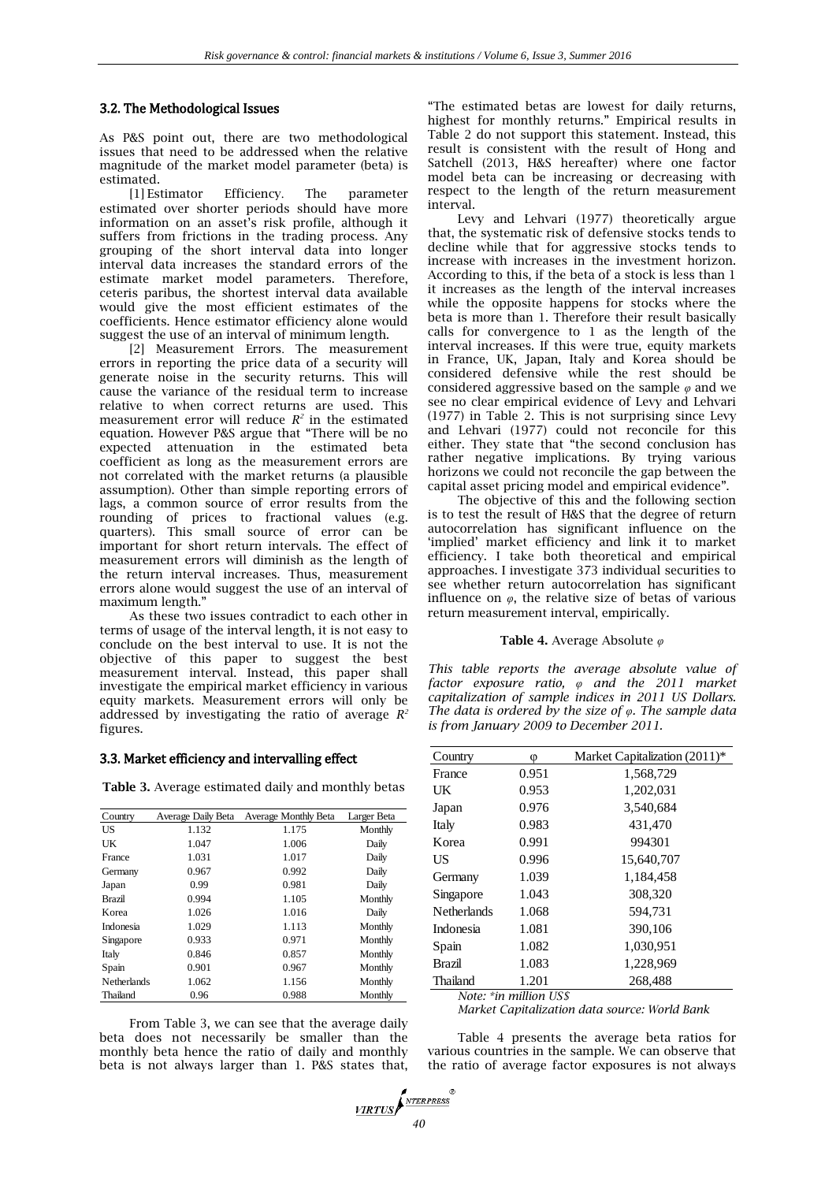## 3.2. The Methodological Issues

As P&S point out, there are two methodological issues that need to be addressed when the relative magnitude of the market model parameter (beta) is estimated.

[1] Estimator Efficiency. The parameter estimated over shorter periods should have more information on an asset's risk profile, although it suffers from frictions in the trading process. Any grouping of the short interval data into longer interval data increases the standard errors of the estimate market model parameters. Therefore, ceteris paribus, the shortest interval data available would give the most efficient estimates of the coefficients. Hence estimator efficiency alone would suggest the use of an interval of minimum length.

[2] Measurement Errors. The measurement errors in reporting the price data of a security will generate noise in the security returns. This will cause the variance of the residual term to increase relative to when correct returns are used. This measurement error will reduce  $R^2$  in the estimated equation. However P&S argue that "There will be no expected attenuation in the estimated beta coefficient as long as the measurement errors are not correlated with the market returns (a plausible assumption). Other than simple reporting errors of lags, a common source of error results from the rounding of prices to fractional values (e.g. quarters). This small source of error can be important for short return intervals. The effect of measurement errors will diminish as the length of the return interval increases. Thus, measurement errors alone would suggest the use of an interval of maximum length."

As these two issues contradict to each other in terms of usage of the interval length, it is not easy to conclude on the best interval to use. It is not the objective of this paper to suggest the best measurement interval. Instead, this paper shall investigate the empirical market efficiency in various equity markets. Measurement errors will only be addressed by investigating the ratio of average  $R^2$ figures.

#### 3.3. Market efficiency and intervalling effect

**Table 3.** Average estimated daily and monthly betas

| Country       | Average Daily Beta | Average Monthly Beta | Larger Beta |
|---------------|--------------------|----------------------|-------------|
| <b>US</b>     | 1.132              | 1.175                | Monthly     |
| UK            | 1.047              | 1.006                | Daily       |
| France        | 1.031              | 1.017                | Daily       |
| Germany       | 0.967              | 0.992                | Daily       |
| Japan         | 0.99               | 0.981                | Daily       |
| <b>Brazil</b> | 0.994              | 1.105                | Monthly     |
| Korea         | 1.026              | 1.016                | Daily       |
| Indonesia     | 1.029              | 1.113                | Monthly     |
| Singapore     | 0.933              | 0.971                | Monthly     |
| Italy         | 0.846              | 0.857                | Monthly     |
| Spain         | 0.901              | 0.967                | Monthly     |
| Netherlands   | 1.062              | 1.156                | Monthly     |
| Thailand      | 0.96               | 0.988                | Monthly     |

From Table 3, we can see that the average daily beta does not necessarily be smaller than the monthly beta hence the ratio of daily and monthly beta is not always larger than 1. P&S states that,

"The estimated betas are lowest for daily returns, highest for monthly returns." Empirical results in Table 2 do not support this statement. Instead, this result is consistent with the result of Hong and Satchell (2013, H&S hereafter) where one factor model beta can be increasing or decreasing with respect to the length of the return measurement interval.

Levy and Lehvari (1977) theoretically argue that, the systematic risk of defensive stocks tends to decline while that for aggressive stocks tends to increase with increases in the investment horizon. According to this, if the beta of a stock is less than 1 it increases as the length of the interval increases while the opposite happens for stocks where the beta is more than 1. Therefore their result basically calls for convergence to 1 as the length of the interval increases. If this were true, equity markets in France, UK, Japan, Italy and Korea should be considered defensive while the rest should be considered aggressive based on the sample *φ* and we see no clear empirical evidence of Levy and Lehvari (1977) in Table 2. This is not surprising since Levy and Lehvari (1977) could not reconcile for this either. They state that "the second conclusion has rather negative implications. By trying various horizons we could not reconcile the gap between the capital asset pricing model and empirical evidence".

The objective of this and the following section is to test the result of H&S that the degree of return autocorrelation has significant influence on the 'implied' market efficiency and link it to market efficiency. I take both theoretical and empirical approaches. I investigate 373 individual securities to see whether return autocorrelation has significant influence on  $\varphi$ , the relative size of betas of various return measurement interval, empirically.

#### **Table 4.** Average Absolute *φ*

*This table reports the average absolute value of factor exposure ratio, φ and the 2011 market capitalization of sample indices in 2011 US Dollars. The data is ordered by the size of φ. The sample data is from January 2009 to December 2011.*

| Country            | Φ     | Market Capitalization $(2011)^*$ |
|--------------------|-------|----------------------------------|
| France             | 0.951 | 1,568,729                        |
| UK                 | 0.953 | 1,202,031                        |
| Japan              | 0.976 | 3,540,684                        |
| Italy              | 0.983 | 431,470                          |
| Korea              | 0.991 | 994301                           |
| US                 | 0.996 | 15.640.707                       |
| Germany            | 1.039 | 1,184,458                        |
| Singapore          | 1.043 | 308,320                          |
| <b>Netherlands</b> | 1.068 | 594,731                          |
| Indonesia          | 1.081 | 390,106                          |
| Spain              | 1.082 | 1,030,951                        |
| <b>Brazil</b>      | 1.083 | 1,228,969                        |
| Thailand           | 1.201 | 268,488                          |
|                    |       |                                  |

*Note: \*in million US\$*

*Market Capitalization data source: World Bank*

Table 4 presents the average beta ratios for various countries in the sample. We can observe that the ratio of average factor exposures is not always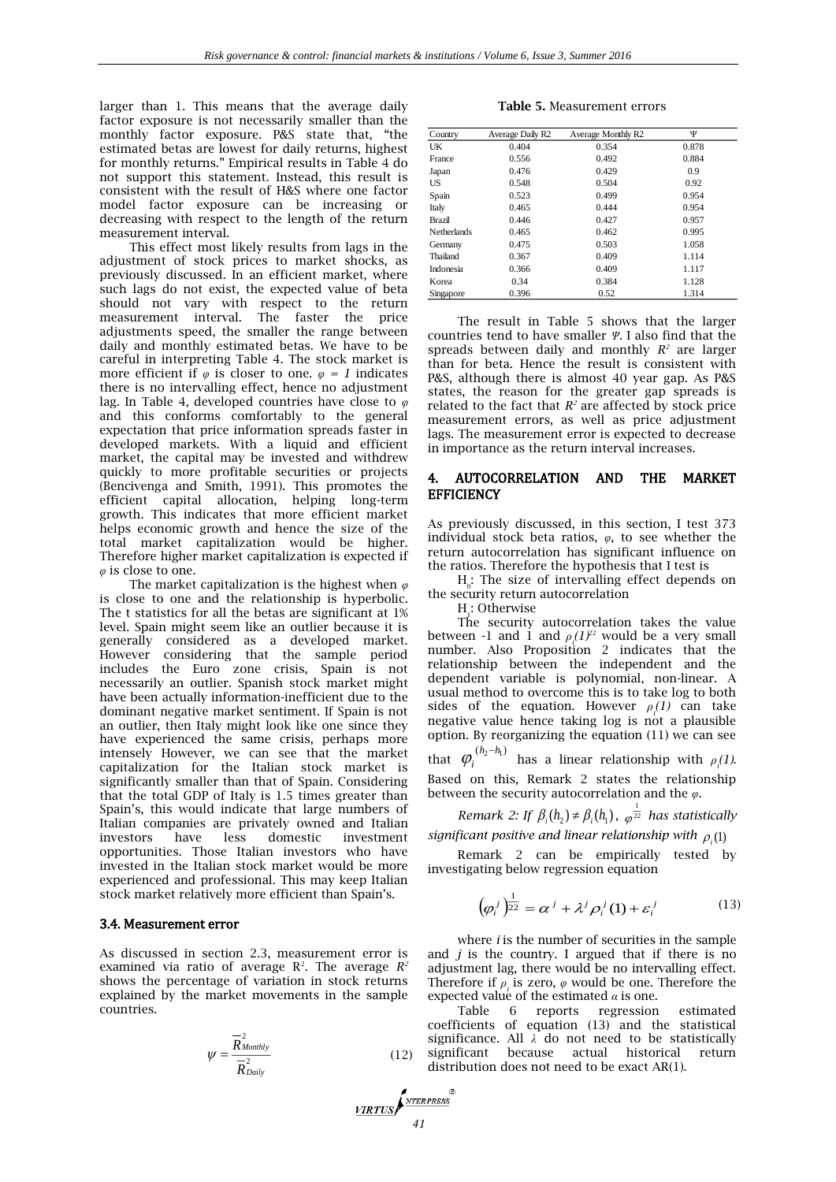larger than 1. This means that the average daily factor exposure is not necessarily smaller than the monthly factor exposure. P&S state that, "the estimated betas are lowest for daily returns, highest for monthly returns." Empirical results in Table 4 do not support this statement. Instead, this result is consistent with the result of H&S where one factor model factor exposure can be increasing or decreasing with respect to the length of the return measurement interval.

This effect most likely results from lags in the adjustment of stock prices to market shocks, as previously discussed. In an efficient market, where such lags do not exist, the expected value of beta should not vary with respect to the return measurement interval. The faster the price adjustments speed, the smaller the range between daily and monthly estimated betas. We have to be careful in interpreting Table 4. The stock market is more efficient if  $\varphi$  is closer to one.  $\varphi = 1$  indicates there is no intervalling effect, hence no adjustment lag. In Table 4, developed countries have close to *φ* and this conforms comfortably to the general expectation that price information spreads faster in developed markets. With a liquid and efficient market, the capital may be invested and withdrew quickly to more profitable securities or projects (Bencivenga and Smith, 1991). This promotes the efficient capital allocation, helping long-term growth. This indicates that more efficient market helps economic growth and hence the size of the total market capitalization would be higher. Therefore higher market capitalization is expected if *φ* is close to one.

The market capitalization is the highest when *φ* is close to one and the relationship is hyperbolic. The t statistics for all the betas are significant at 1% level. Spain might seem like an outlier because it is generally considered as a developed market. However considering that the sample period includes the Euro zone crisis, Spain is not necessarily an outlier. Spanish stock market might have been actually information-inefficient due to the dominant negative market sentiment. If Spain is not an outlier, then Italy might look like one since they have experienced the same crisis, perhaps more intensely However, we can see that the market capitalization for the Italian stock market is significantly smaller than that of Spain. Considering that the total GDP of Italy is 1.5 times greater than Spain's, this would indicate that large numbers of Italian companies are privately owned and Italian investors have less domestic investment opportunities. Those Italian investors who have invested in the Italian stock market would be more experienced and professional. This may keep Italian stock market relatively more efficient than Spain's.

#### 3.4. Measurement error

As discussed in section 2.3, measurement error is examined via ratio of average  $R^2$ . The average  $R^2$ shows the percentage of variation in stock returns explained by the market movements in the sample countries.

$$
\psi = \frac{\overline{R}_{Monthly}^2}{\overline{R}_{Daily}^2} \tag{12}
$$

**Table 5.** Measurement errors

| Country            | Average Daily R2 | Average Monthly R2 | Ψ     |
|--------------------|------------------|--------------------|-------|
| UK                 | 0.404            | 0.354              | 0.878 |
| France             | 0.556            | 0.492              | 0.884 |
| Japan              | 0.476            | 0.429              | 0.9   |
| US                 | 0.548            | 0.504              | 0.92  |
| Spain              | 0.523            | 0.499              | 0.954 |
| Italy              | 0.465            | 0.444              | 0.954 |
| Brazil             | 0.446            | 0.427              | 0.957 |
| <b>Netherlands</b> | 0.465            | 0.462              | 0.995 |
| Germany            | 0.475            | 0.503              | 1.058 |
| Thailand           | 0.367            | 0.409              | 1.114 |
| Indonesia          | 0.366            | 0.409              | 1.117 |
| Korea              | 0.34             | 0.384              | 1.128 |
| Singapore          | 0.396            | 0.52               | 1.314 |

The result in Table 5 shows that the larger countries tend to have smaller *Ψ*. I also find that the spreads between daily and monthly  $R^2$  are larger than for beta. Hence the result is consistent with P&S, although there is almost 40 year gap. As P&S states, the reason for the greater gap spreads is related to the fact that  $R^2$  are affected by stock price measurement errors, as well as price adjustment lags. The measurement error is expected to decrease in importance as the return interval increases.

## 4. AUTOCORRELATION AND THE MARKET **EFFICIENCY**

As previously discussed, in this section, I test 373 individual stock beta ratios, *φ*, to see whether the return autocorrelation has significant influence on the ratios. Therefore the hypothesis that I test is

 $H_0$ : The size of intervalling effect depends on the security return autocorrelation

H<sub>1</sub>: Otherwise

The security autocorrelation takes the value between -1 and 1 and  $\rho_p(1)^{22}$  would be a very small number. Also Proposition 2 indicates that the relationship between the independent and the dependent variable is polynomial, non-linear. A usual method to overcome this is to take log to both sides of the equation. However  $\rho_i(1)$  can take negative value hence taking  $log$  is not a plausible option. By reorganizing the equation (11) we can see

that  $\varphi_i^{(h_2 - h_1)}$  $\varphi_i^{(n_2 - n_1)}$  has a linear relationship with *ρ*<sub>*i*</sub>(1). Based on this, Remark 2 states the relationship between the security autocorrelation and the *φ*.

*Remark 2: If*  $\beta_i(h_2) \neq \beta_i(h_1)$ ,  $\varphi^{\frac{1}{22}}$  $\varphi^{\overline{22}}$  has statistically *significant positive and linear relationship with*  $\rho_i(1)$ 

Remark 2 can be empirically tested by investigating below regression equation

$$
\left(\varphi_i^j\right)^{\frac{1}{22}} = \alpha^j + \lambda^j \varphi_i^j(1) + \varepsilon_i^j \tag{13}
$$

where *i* is the number of securities in the sample and *j* is the country. I argued that if there is no adjustment lag, there would be no intervalling effect. Therefore if  $\rho_i$  is zero,  $\varphi$  would be one. Therefore the expected value of the estimated *α* is one.

Table 6 reports regression estimated coefficients of equation (13) and the statistical significance. All *λ* do not need to be statistically significant because actual historical return distribution does not need to be exact AR(1).

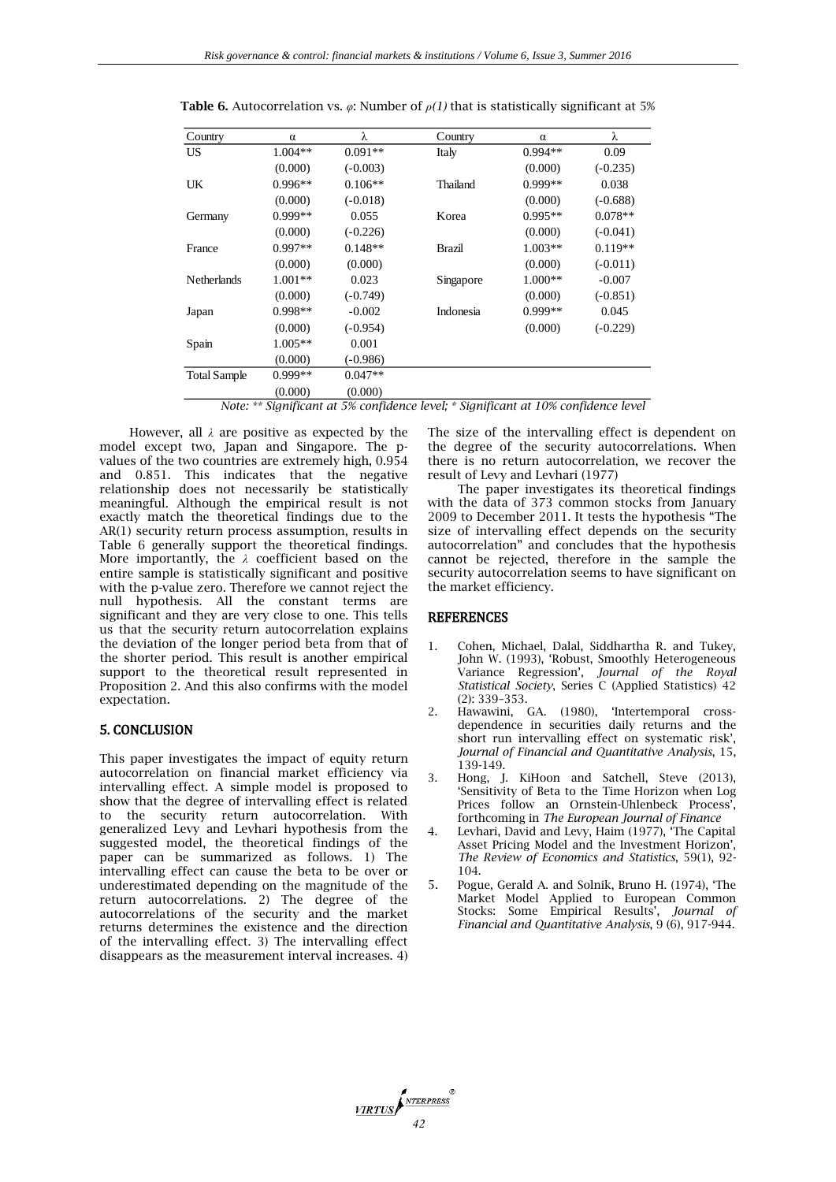| Country             | $\alpha$  | λ          | Country   | α         | λ          |
|---------------------|-----------|------------|-----------|-----------|------------|
| US                  | 1.004**   | $0.091**$  | Italy     | $0.994**$ | 0.09       |
|                     | (0.000)   | $(-0.003)$ |           | (0.000)   | $(-0.235)$ |
| UK                  | $0.996**$ | $0.106**$  | Thailand  | $0.999**$ | 0.038      |
|                     | (0.000)   | $(-0.018)$ |           | (0.000)   | $(-0.688)$ |
| Germany             | $0.999**$ | 0.055      | Korea     | $0.995**$ | $0.078**$  |
|                     | (0.000)   | $(-0.226)$ |           | (0.000)   | $(-0.041)$ |
| France              | $0.997**$ | $0.148**$  | Brazil    | $1.003**$ | $0.119**$  |
|                     | (0.000)   | (0.000)    |           | (0.000)   | $(-0.011)$ |
| Netherlands         | $1.001**$ | 0.023      | Singapore | $1.000**$ | $-0.007$   |
|                     | (0.000)   | $(-0.749)$ |           | (0.000)   | $(-0.851)$ |
| Japan               | $0.998**$ | $-0.002$   | Indonesia | $0.999**$ | 0.045      |
|                     | (0.000)   | $(-0.954)$ |           | (0.000)   | $(-0.229)$ |
| Spain               | $1.005**$ | 0.001      |           |           |            |
|                     | (0.000)   | $(-0.986)$ |           |           |            |
| <b>Total Sample</b> | $0.999**$ | $0.047**$  |           |           |            |
|                     | (0.000)   | (0.000)    |           |           |            |

**Table 6.** Autocorrelation vs. *φ*: Number of *ρ(1)* that is statistically significant at 5%

*Note: \*\* Significant at 5% confidence level; \* Significant at 10% confidence level*

However, all *λ* are positive as expected by the model except two, Japan and Singapore. The pvalues of the two countries are extremely high, 0.954 and 0.851. This indicates that the negative relationship does not necessarily be statistically meaningful. Although the empirical result is not exactly match the theoretical findings due to the AR(1) security return process assumption, results in Table 6 generally support the theoretical findings. More importantly, the *λ* coefficient based on the entire sample is statistically significant and positive with the p-value zero. Therefore we cannot reject the null hypothesis. All the constant terms are significant and they are very close to one. This tells us that the security return autocorrelation explains the deviation of the longer period beta from that of the shorter period. This result is another empirical support to the theoretical result represented in Proposition 2. And this also confirms with the model expectation.

# 5. CONCLUSION

This paper investigates the impact of equity return autocorrelation on financial market efficiency via intervalling effect. A simple model is proposed to show that the degree of intervalling effect is related to the security return autocorrelation. With generalized Levy and Levhari hypothesis from the suggested model, the theoretical findings of the paper can be summarized as follows. 1) The intervalling effect can cause the beta to be over or underestimated depending on the magnitude of the return autocorrelations. 2) The degree of the autocorrelations of the security and the market returns determines the existence and the direction of the intervalling effect. 3) The intervalling effect disappears as the measurement interval increases. 4)

The size of the intervalling effect is dependent on the degree of the security autocorrelations. When there is no return autocorrelation, we recover the result of Levy and Levhari (1977)

The paper investigates its theoretical findings with the data of 373 common stocks from January 2009 to December 2011. It tests the hypothesis "The size of intervalling effect depends on the security autocorrelation" and concludes that the hypothesis cannot be rejected, therefore in the sample the security autocorrelation seems to have significant on the market efficiency.

## **REFERENCES**

- 1. Cohen, Michael, Dalal, Siddhartha R. and Tukey, John W. (1993), 'Robust, Smoothly Heterogeneous Variance Regression', *Journal of the Royal Statistical Society*, Series C (Applied Statistics) 42 (2): 339–353.
- 2. Hawawini, GA. (1980), 'Intertemporal crossdependence in securities daily returns and the short run intervalling effect on systematic risk', *Journal of Financial and Quantitative Analysis*, 15, 139-149.
- 3. Hong, J. KiHoon and Satchell, Steve (2013), 'Sensitivity of Beta to the Time Horizon when Log Prices follow an Ornstein-Uhlenbeck Process', forthcoming in *The European Journal of Finance*
- 4. Levhari, David and Levy, Haim (1977), 'The Capital Asset Pricing Model and the Investment Horizon', *The Review of Economics and Statistics*, 59(1), 92- 104.
- 5. Pogue, Gerald A. and Solnik, Bruno H. (1974), 'The Market Model Applied to European Common Stocks: Some Empirical Results', *Journal of Financial and Quantitative Analysis*, 9 (6), 917-944.

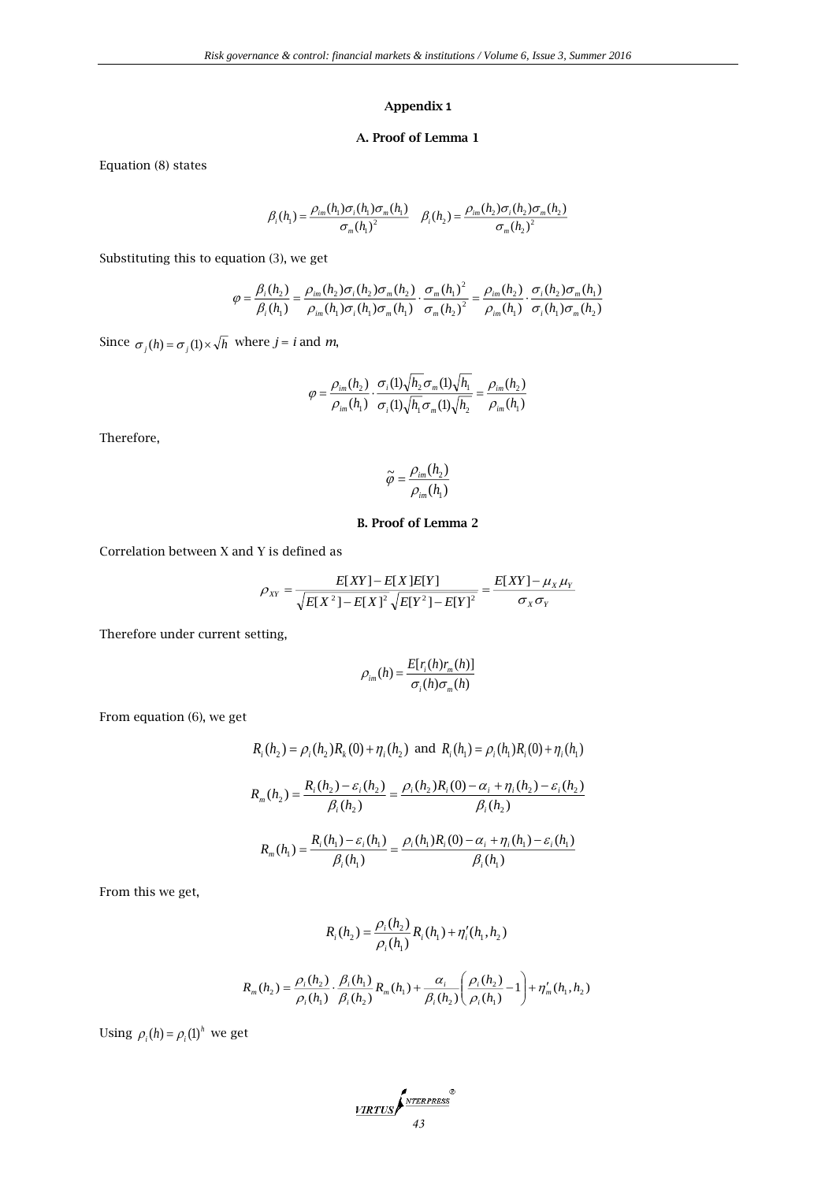# **Appendix 1**

# **A. Proof of Lemma 1**

Equation (8) states

$$
\beta_i(h_1) = \frac{\rho_{im}(h_1)\sigma_i(h_1)\sigma_m(h_1)}{\sigma_m(h_1)^2} \quad \beta_i(h_2) = \frac{\rho_{im}(h_2)\sigma_i(h_2)\sigma_m(h_2)}{\sigma_m(h_2)^2}
$$

Substituting this to equation (3), we get

$$
\varphi = \frac{\beta_i(h_2)}{\beta_i(h_1)} = \frac{\rho_{im}(h_2)\sigma_i(h_2)\sigma_m(h_2)}{\rho_{im}(h_1)\sigma_i(h_1)\sigma_m(h_1)} \cdot \frac{\sigma_m(h_1)^2}{\sigma_m(h_2)^2} = \frac{\rho_{im}(h_2)}{\rho_{im}(h_1)} \cdot \frac{\sigma_i(h_2)\sigma_m(h_1)}{\sigma_i(h_1)\sigma_m(h_2)}
$$

Since  $\sigma_j(h) = \sigma_j(1) \times \sqrt{h}$  where  $j = i$  and  $m$ ,

$$
\varphi = \frac{\rho_{im}(h_2)}{\rho_{im}(h_1)} \cdot \frac{\sigma_i(1)\sqrt{h_2}\,\sigma_m(1)\sqrt{h_1}}{\sigma_i(1)\sqrt{h_1}\,\sigma_m(1)\sqrt{h_2}} = \frac{\rho_{im}(h_2)}{\rho_{im}(h_1)}
$$

Therefore,

$$
\widetilde{\varphi} = \frac{\rho_{im}(h_2)}{\rho_{im}(h_1)}
$$

# **B. Proof of Lemma 2**

Correlation between X and Y is defined as

$$
\rho_{XY} = \frac{E[XY] - E[X]E[Y]}{\sqrt{E[X^2] - E[X]^2} \sqrt{E[Y^2] - E[Y]^2}} = \frac{E[XY] - \mu_X \mu_Y}{\sigma_X \sigma_Y}
$$

Therefore under current setting,

$$
\rho_{im}(h) = \frac{E[r_i(h)r_m(h)]}{\sigma_i(h)\sigma_m(h)}
$$

From equation (6), we get

$$
R_i(h_2) = \rho_i(h_2)R_k(0) + \eta_i(h_2) \text{ and } R_i(h_1) = \rho_i(h_1)R_i(0) + \eta_i(h_1)
$$
  

$$
R_m(h_2) = \frac{R_i(h_2) - \varepsilon_i(h_2)}{\beta_i(h_2)} = \frac{\rho_i(h_2)R_i(0) - \alpha_i + \eta_i(h_2) - \varepsilon_i(h_2)}{\beta_i(h_2)}
$$
  

$$
R_m(h_1) = \frac{R_i(h_1) - \varepsilon_i(h_1)}{\beta_i(h_1)} = \frac{\rho_i(h_1)R_i(0) - \alpha_i + \eta_i(h_1) - \varepsilon_i(h_1)}{\beta_i(h_1)}
$$

From this we get,

$$
R_i(h_2) = \frac{\rho_i(h_2)}{\rho_i(h_1)} R_i(h_1) + \eta'_i(h_1, h_2)
$$

$$
R_m(h_2) = \frac{\rho_i(h_2)}{\rho_i(h_1)} \cdot \frac{\beta_i(h_1)}{\beta_i(h_2)} R_m(h_1) + \frac{\alpha_i}{\beta_i(h_2)} \left(\frac{\rho_i(h_2)}{\rho_i(h_1)} - 1\right) + \eta'_m(h_1, h_2)
$$

Using  $\rho_i(h) = \rho_i(1)^h$  we get